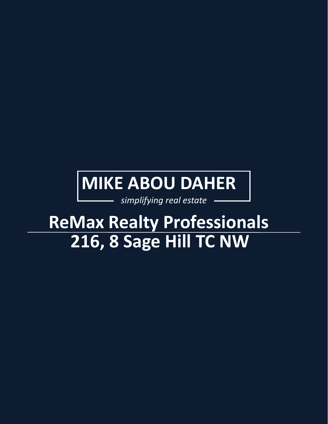# **MIKE ABOU DAHER**

*simplifying real estate*

# **ReMax Realty Professionals 216, 8 Sage Hill TC NW**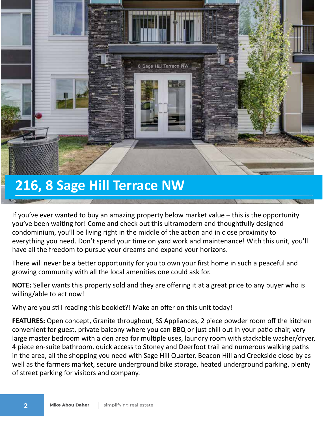

### **216, 8 Sage Hill Terrace NW**

If you've ever wanted to buy an amazing property below market value – this is the opportunity you've been waiting for! Come and check out this ultramodern and thoughtfully designed condominium, you'll be living right in the middle of the action and in close proximity to everything you need. Don't spend your time on yard work and maintenance! With this unit, you'll have all the freedom to pursue your dreams and expand your horizons.

There will never be a better opportunity for you to own your first home in such a peaceful and growing community with all the local amenities one could ask for.

**NOTE:** Seller wants this property sold and they are offering it at a great price to any buyer who is willing/able to act now!

Why are you still reading this booklet?! Make an offer on this unit today!

**FEATURES:** Open concept, Granite throughout, SS Appliances, 2 piece powder room off the kitchen convenient for guest, private balcony where you can BBQ or just chill out in your patio chair, very large master bedroom with a den area for multiple uses, laundry room with stackable washer/dryer, 4 piece en-suite bathroom, quick access to Stoney and Deerfoot trail and numerous walking paths in the area, all the shopping you need with Sage Hill Quarter, Beacon Hill and Creekside close by as well as the farmers market, secure underground bike storage, heated underground parking, plenty of street parking for visitors and company.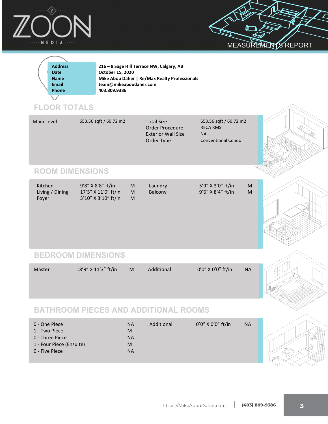

0 - Five Piece **NA** 



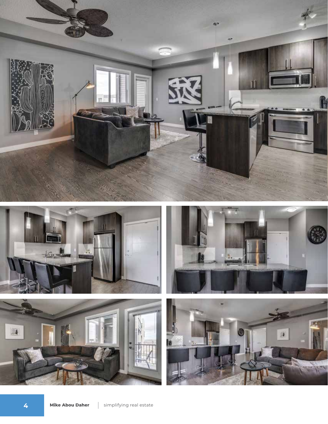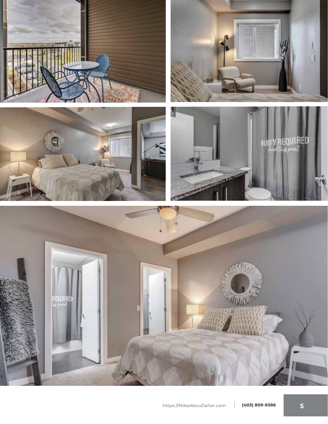







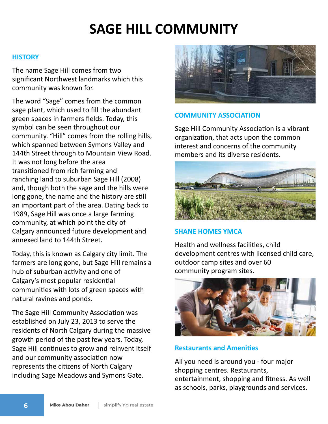## **SAGE HILL COMMUNITY**

#### **HISTORY**

The name Sage Hill comes from two significant Northwest landmarks which this community was known for.

The word "Sage" comes from the common sage plant, which used to fill the abundant green spaces in farmers fields. Today, this symbol can be seen throughout our community. "Hill" comes from the rolling hills, which spanned between Symons Valley and 144th Street through to Mountain View Road. It was not long before the area transitioned from rich farming and ranching land to suburban Sage Hill (2008) and, though both the sage and the hills were long gone, the name and the history are still an important part of the area. Dating back to 1989, Sage Hill was once a large farming community, at which point the city of Calgary announced future development and annexed land to 144th Street.

Today, this is known as Calgary city limit. The farmers are long gone, but Sage Hill remains a hub of suburban activity and one of Calgary's most popular residential communities with lots of green spaces with natural ravines and ponds.

The Sage Hill Community Association was established on July 23, 2013 to serve the residents of North Calgary during the massive growth period of the past few years. Today, Sage Hill continues to grow and reinvent itself and our community association now represents the citizens of North Calgary including Sage Meadows and Symons Gate.



#### **COMMUNITY ASSOCIATION**

Sage Hill Community Association is a vibrant organization, that acts upon the common interest and concerns of the community members and its diverse residents.



#### **SHANE HOMES YMCA**

Health and wellness facilities, child development centres with licensed child care, outdoor camp sites and over 60 community program sites.



#### **Restaurants and Amenities**

All you need is around you - four major shopping centres. Restaurants, entertainment, shopping and fitness. As well as schools, parks, playgrounds and services.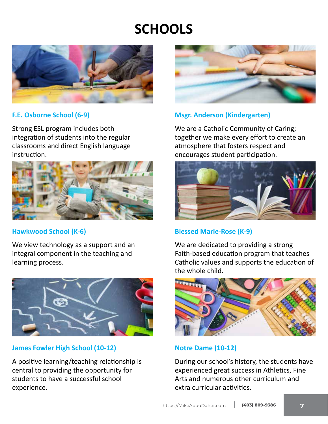## **SCHOOLS**



#### **F.E. Osborne School (6-9)**

Strong ESL program includes both integration of students into the regular classrooms and direct English language instruction.



#### **Hawkwood School (K-6)**

We view technology as a support and an integral component in the teaching and learning process.



#### **James Fowler High School (10-12)**

A positive learning/teaching relationship is central to providing the opportunity for students to have a successful school experience.



#### **Msgr. Anderson (Kindergarten)**

We are a Catholic Community of Caring; together we make every effort to create an atmosphere that fosters respect and encourages student participation.



### **Blessed Marie-Rose (K-9)**

We are dedicated to providing a strong Faith-based education program that teaches Catholic values and supports the education of the whole child.



### **Notre Dame (10-12)**

During our school's history, the students have experienced great success in Athletics, Fine Arts and numerous other curriculum and extra curricular activities.